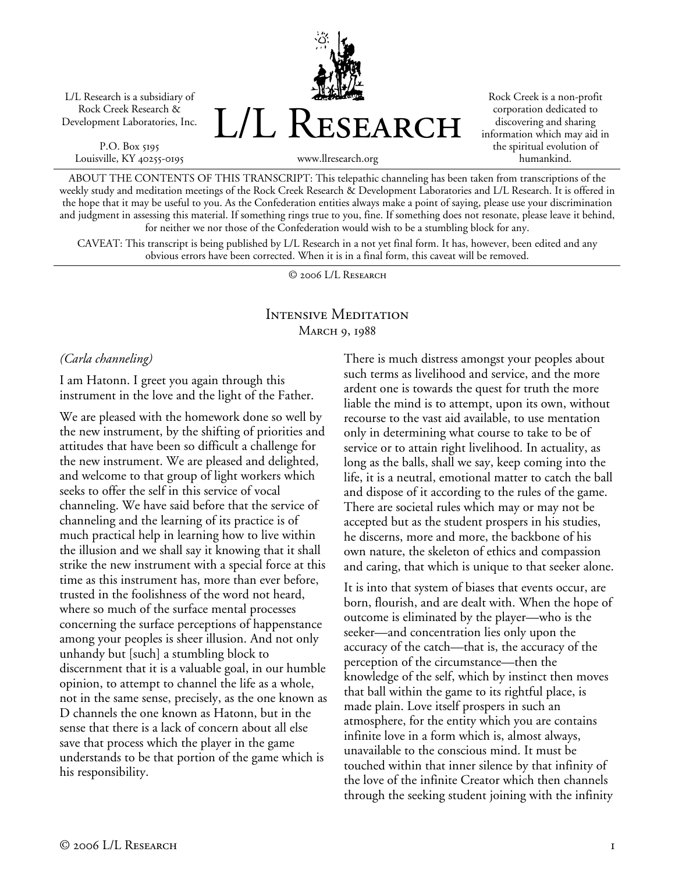L/L Research is a subsidiary of Rock Creek Research & Development Laboratories, Inc.

P.O. Box 5195 Louisville, KY 40255-0195 L/L Research

Rock Creek is a non-profit corporation dedicated to discovering and sharing information which may aid in the spiritual evolution of humankind.

www.llresearch.org

ABOUT THE CONTENTS OF THIS TRANSCRIPT: This telepathic channeling has been taken from transcriptions of the weekly study and meditation meetings of the Rock Creek Research & Development Laboratories and L/L Research. It is offered in the hope that it may be useful to you. As the Confederation entities always make a point of saying, please use your discrimination and judgment in assessing this material. If something rings true to you, fine. If something does not resonate, please leave it behind, for neither we nor those of the Confederation would wish to be a stumbling block for any.

CAVEAT: This transcript is being published by L/L Research in a not yet final form. It has, however, been edited and any obvious errors have been corrected. When it is in a final form, this caveat will be removed.

© 2006 L/L Research

## Intensive Meditation MARCH 9, 1988

*(Carla channeling)* 

I am Hatonn. I greet you again through this instrument in the love and the light of the Father.

We are pleased with the homework done so well by the new instrument, by the shifting of priorities and attitudes that have been so difficult a challenge for the new instrument. We are pleased and delighted, and welcome to that group of light workers which seeks to offer the self in this service of vocal channeling. We have said before that the service of channeling and the learning of its practice is of much practical help in learning how to live within the illusion and we shall say it knowing that it shall strike the new instrument with a special force at this time as this instrument has, more than ever before, trusted in the foolishness of the word not heard, where so much of the surface mental processes concerning the surface perceptions of happenstance among your peoples is sheer illusion. And not only unhandy but [such] a stumbling block to discernment that it is a valuable goal, in our humble opinion, to attempt to channel the life as a whole, not in the same sense, precisely, as the one known as D channels the one known as Hatonn, but in the sense that there is a lack of concern about all else save that process which the player in the game understands to be that portion of the game which is his responsibility.

There is much distress amongst your peoples about such terms as livelihood and service, and the more ardent one is towards the quest for truth the more liable the mind is to attempt, upon its own, without recourse to the vast aid available, to use mentation only in determining what course to take to be of service or to attain right livelihood. In actuality, as long as the balls, shall we say, keep coming into the life, it is a neutral, emotional matter to catch the ball and dispose of it according to the rules of the game. There are societal rules which may or may not be accepted but as the student prospers in his studies, he discerns, more and more, the backbone of his own nature, the skeleton of ethics and compassion and caring, that which is unique to that seeker alone.

It is into that system of biases that events occur, are born, flourish, and are dealt with. When the hope of outcome is eliminated by the player—who is the seeker—and concentration lies only upon the accuracy of the catch—that is, the accuracy of the perception of the circumstance—then the knowledge of the self, which by instinct then moves that ball within the game to its rightful place, is made plain. Love itself prospers in such an atmosphere, for the entity which you are contains infinite love in a form which is, almost always, unavailable to the conscious mind. It must be touched within that inner silence by that infinity of the love of the infinite Creator which then channels through the seeking student joining with the infinity